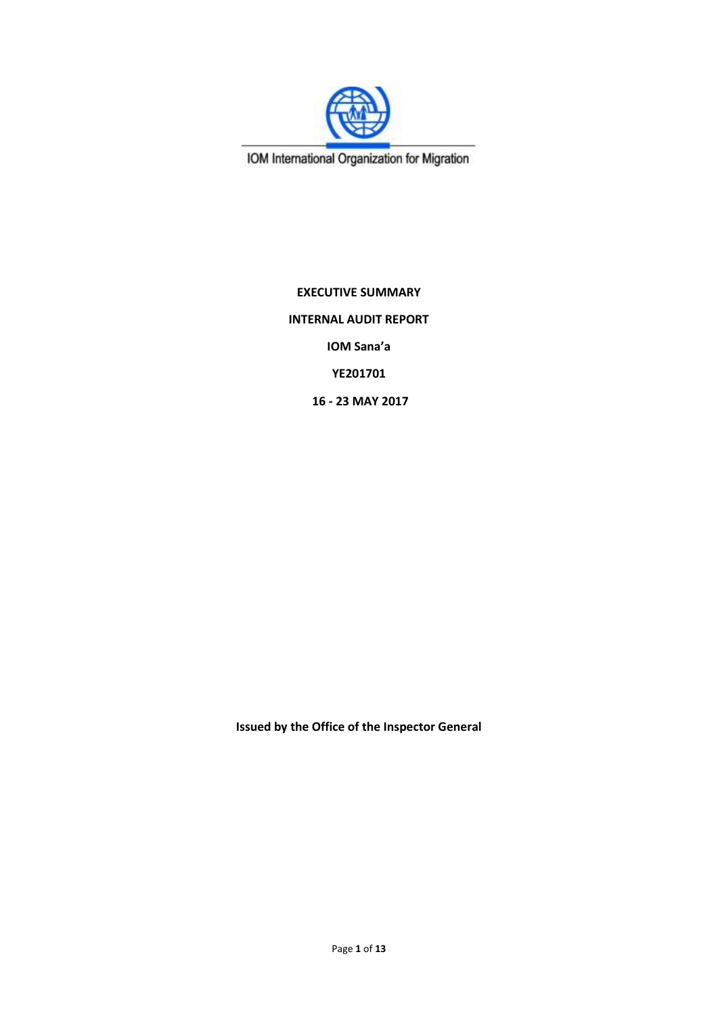

IOM International Organization for Migration

**EXECUTIVE SUMMARY INTERNAL AUDIT REPORT IOM Sana'a YE201701 16 - 23 MAY 2017**

**Issued by the Office of the Inspector General**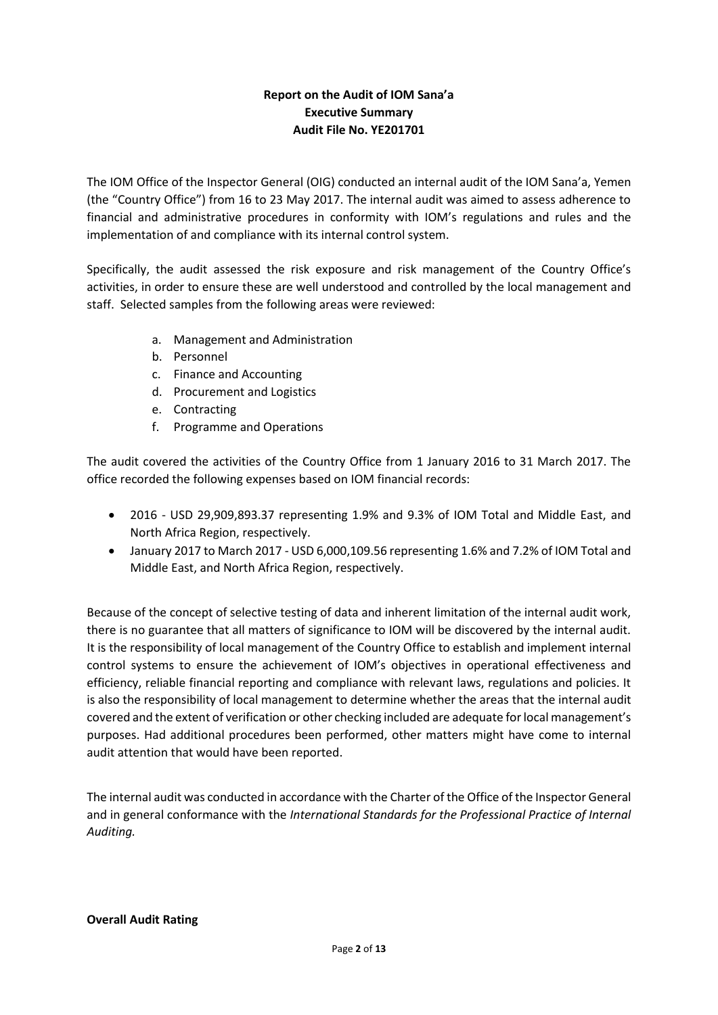# **Report on the Audit of IOM Sana'a Executive Summary Audit File No. YE201701**

The IOM Office of the Inspector General (OIG) conducted an internal audit of the IOM Sana'a, Yemen (the "Country Office") from 16 to 23 May 2017. The internal audit was aimed to assess adherence to financial and administrative procedures in conformity with IOM's regulations and rules and the implementation of and compliance with its internal control system.

Specifically, the audit assessed the risk exposure and risk management of the Country Office's activities, in order to ensure these are well understood and controlled by the local management and staff. Selected samples from the following areas were reviewed:

- a. Management and Administration
- b. Personnel
- c. Finance and Accounting
- d. Procurement and Logistics
- e. Contracting
- f. Programme and Operations

The audit covered the activities of the Country Office from 1 January 2016 to 31 March 2017. The office recorded the following expenses based on IOM financial records:

- 2016 USD 29,909,893.37 representing 1.9% and 9.3% of IOM Total and Middle East, and North Africa Region, respectively.
- January 2017 to March 2017 USD 6,000,109.56 representing 1.6% and 7.2% of IOM Total and Middle East, and North Africa Region, respectively.

Because of the concept of selective testing of data and inherent limitation of the internal audit work, there is no guarantee that all matters of significance to IOM will be discovered by the internal audit. It is the responsibility of local management of the Country Office to establish and implement internal control systems to ensure the achievement of IOM's objectives in operational effectiveness and efficiency, reliable financial reporting and compliance with relevant laws, regulations and policies. It is also the responsibility of local management to determine whether the areas that the internal audit covered and the extent of verification or other checking included are adequate for local management's purposes. Had additional procedures been performed, other matters might have come to internal audit attention that would have been reported.

The internal audit was conducted in accordance with the Charter of the Office of the Inspector General and in general conformance with the *International Standards for the Professional Practice of Internal Auditing.*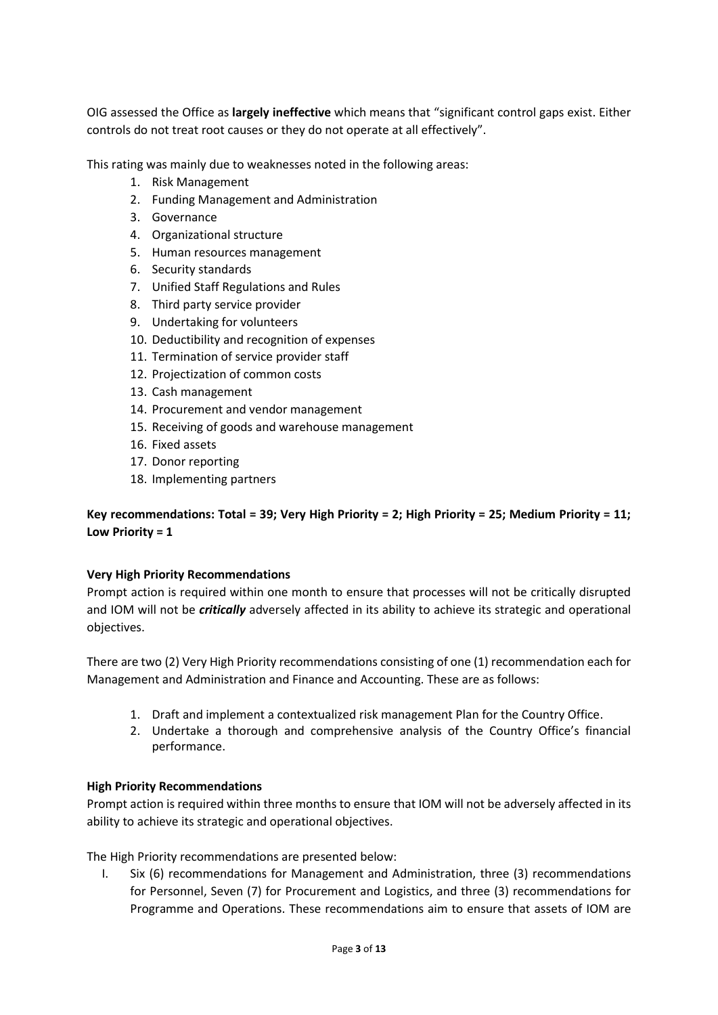OIG assessed the Office as **largely ineffective** which means that "significant control gaps exist. Either controls do not treat root causes or they do not operate at all effectively".

This rating was mainly due to weaknesses noted in the following areas:

- 1. Risk Management
- 2. Funding Management and Administration
- 3. Governance
- 4. Organizational structure
- 5. Human resources management
- 6. Security standards
- 7. Unified Staff Regulations and Rules
- 8. Third party service provider
- 9. Undertaking for volunteers
- 10. Deductibility and recognition of expenses
- 11. Termination of service provider staff
- 12. Projectization of common costs
- 13. Cash management
- 14. Procurement and vendor management
- 15. Receiving of goods and warehouse management
- 16. Fixed assets
- 17. Donor reporting
- 18. Implementing partners

## **Key recommendations: Total = 39; Very High Priority = 2; High Priority = 25; Medium Priority = 11; Low Priority = 1**

### **Very High Priority Recommendations**

Prompt action is required within one month to ensure that processes will not be critically disrupted and IOM will not be *critically* adversely affected in its ability to achieve its strategic and operational objectives.

There are two (2) Very High Priority recommendations consisting of one (1) recommendation each for Management and Administration and Finance and Accounting. These are as follows:

- 1. Draft and implement a contextualized risk management Plan for the Country Office.
- 2. Undertake a thorough and comprehensive analysis of the Country Office's financial performance.

### **High Priority Recommendations**

Prompt action is required within three months to ensure that IOM will not be adversely affected in its ability to achieve its strategic and operational objectives.

The High Priority recommendations are presented below:

I. Six (6) recommendations for Management and Administration, three (3) recommendations for Personnel, Seven (7) for Procurement and Logistics, and three (3) recommendations for Programme and Operations. These recommendations aim to ensure that assets of IOM are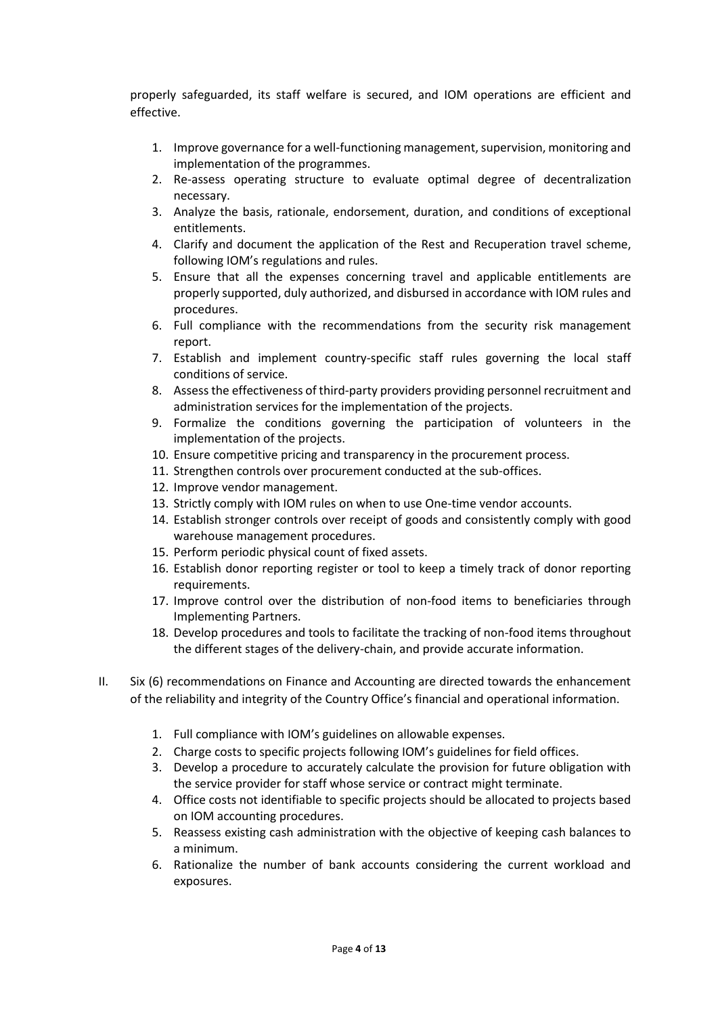properly safeguarded, its staff welfare is secured, and IOM operations are efficient and effective.

- 1. Improve governance for a well-functioning management, supervision, monitoring and implementation of the programmes.
- 2. Re-assess operating structure to evaluate optimal degree of decentralization necessary.
- 3. Analyze the basis, rationale, endorsement, duration, and conditions of exceptional entitlements.
- 4. Clarify and document the application of the Rest and Recuperation travel scheme, following IOM's regulations and rules.
- 5. Ensure that all the expenses concerning travel and applicable entitlements are properly supported, duly authorized, and disbursed in accordance with IOM rules and procedures.
- 6. Full compliance with the recommendations from the security risk management report.
- 7. Establish and implement country-specific staff rules governing the local staff conditions of service.
- 8. Assess the effectiveness of third-party providers providing personnel recruitment and administration services for the implementation of the projects.
- 9. Formalize the conditions governing the participation of volunteers in the implementation of the projects.
- 10. Ensure competitive pricing and transparency in the procurement process.
- 11. Strengthen controls over procurement conducted at the sub-offices.
- 12. Improve vendor management.
- 13. Strictly comply with IOM rules on when to use One-time vendor accounts.
- 14. Establish stronger controls over receipt of goods and consistently comply with good warehouse management procedures.
- 15. Perform periodic physical count of fixed assets.
- 16. Establish donor reporting register or tool to keep a timely track of donor reporting requirements.
- 17. Improve control over the distribution of non-food items to beneficiaries through Implementing Partners.
- 18. Develop procedures and tools to facilitate the tracking of non-food items throughout the different stages of the delivery-chain, and provide accurate information.
- II. Six (6) recommendations on Finance and Accounting are directed towards the enhancement of the reliability and integrity of the Country Office's financial and operational information.
	- 1. Full compliance with IOM's guidelines on allowable expenses.
	- 2. Charge costs to specific projects following IOM's guidelines for field offices.
	- 3. Develop a procedure to accurately calculate the provision for future obligation with the service provider for staff whose service or contract might terminate.
	- 4. Office costs not identifiable to specific projects should be allocated to projects based on IOM accounting procedures.
	- 5. Reassess existing cash administration with the objective of keeping cash balances to a minimum.
	- 6. Rationalize the number of bank accounts considering the current workload and exposures.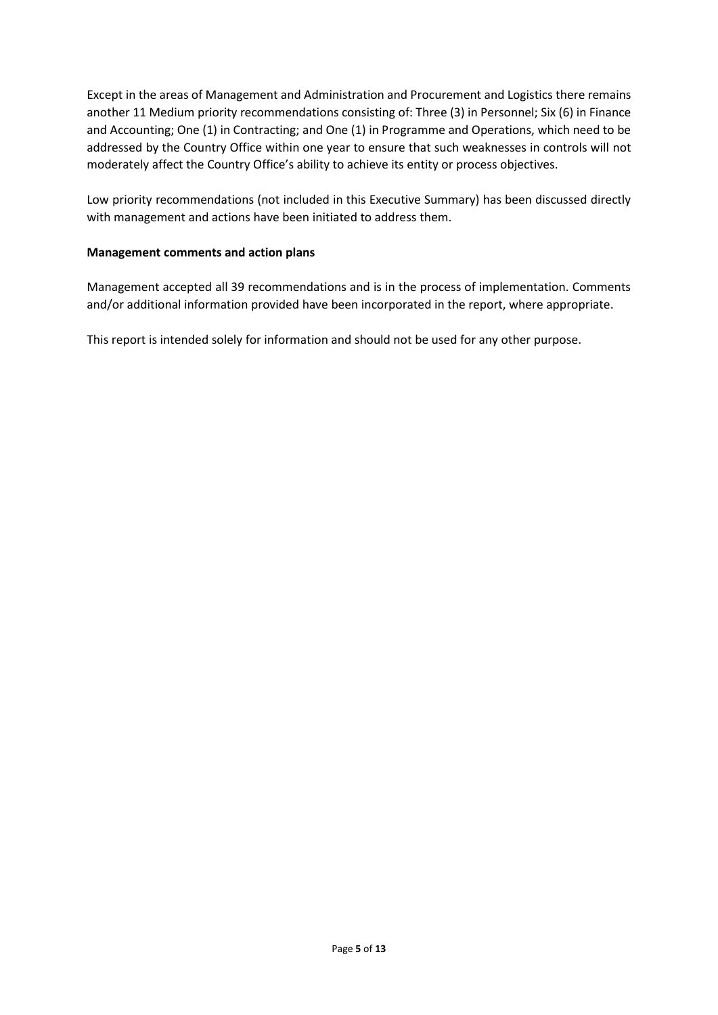Except in the areas of Management and Administration and Procurement and Logistics there remains another 11 Medium priority recommendations consisting of: Three (3) in Personnel; Six (6) in Finance and Accounting; One (1) in Contracting; and One (1) in Programme and Operations, which need to be addressed by the Country Office within one year to ensure that such weaknesses in controls will not moderately affect the Country Office's ability to achieve its entity or process objectives.

Low priority recommendations (not included in this Executive Summary) has been discussed directly with management and actions have been initiated to address them.

#### **Management comments and action plans**

Management accepted all 39 recommendations and is in the process of implementation. Comments and/or additional information provided have been incorporated in the report, where appropriate.

This report is intended solely for information and should not be used for any other purpose.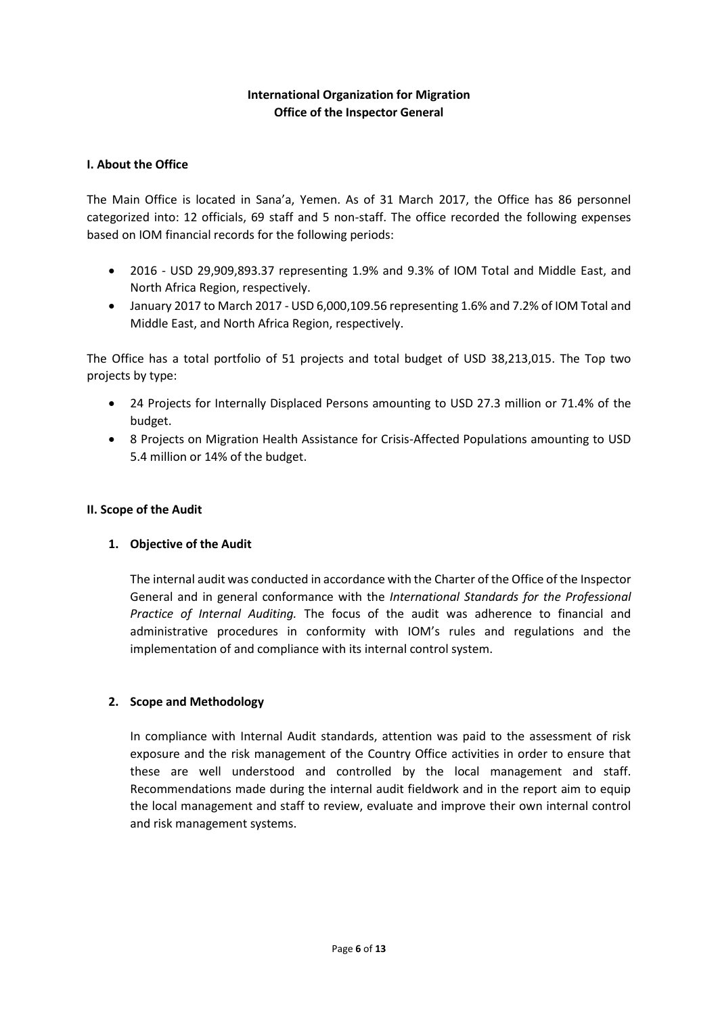## **International Organization for Migration Office of the Inspector General**

### **I. About the Office**

The Main Office is located in Sana'a, Yemen. As of 31 March 2017, the Office has 86 personnel categorized into: 12 officials, 69 staff and 5 non-staff. The office recorded the following expenses based on IOM financial records for the following periods:

- 2016 USD 29,909,893.37 representing 1.9% and 9.3% of IOM Total and Middle East, and North Africa Region, respectively.
- January 2017 to March 2017 USD 6,000,109.56 representing 1.6% and 7.2% of IOM Total and Middle East, and North Africa Region, respectively.

The Office has a total portfolio of 51 projects and total budget of USD 38,213,015. The Top two projects by type:

- 24 Projects for Internally Displaced Persons amounting to USD 27.3 million or 71.4% of the budget.
- 8 Projects on Migration Health Assistance for Crisis-Affected Populations amounting to USD 5.4 million or 14% of the budget.

#### **II. Scope of the Audit**

### **1. Objective of the Audit**

The internal audit was conducted in accordance with the Charter of the Office of the Inspector General and in general conformance with the *International Standards for the Professional Practice of Internal Auditing.* The focus of the audit was adherence to financial and administrative procedures in conformity with IOM's rules and regulations and the implementation of and compliance with its internal control system.

### **2. Scope and Methodology**

In compliance with Internal Audit standards, attention was paid to the assessment of risk exposure and the risk management of the Country Office activities in order to ensure that these are well understood and controlled by the local management and staff. Recommendations made during the internal audit fieldwork and in the report aim to equip the local management and staff to review, evaluate and improve their own internal control and risk management systems.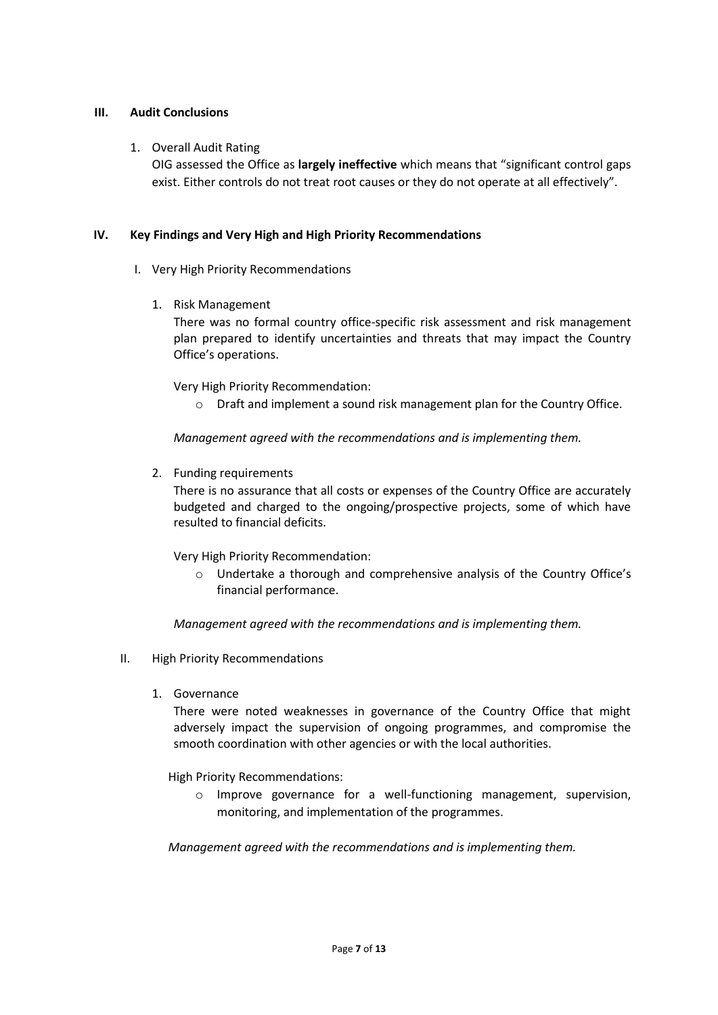#### **III. Audit Conclusions**

#### 1. Overall Audit Rating

OIG assessed the Office as **largely ineffective** which means that "significant control gaps exist. Either controls do not treat root causes or they do not operate at all effectively".

#### **IV. Key Findings and Very High and High Priority Recommendations**

- I. Very High Priority Recommendations
	- 1. Risk Management

There was no formal country office-specific risk assessment and risk management plan prepared to identify uncertainties and threats that may impact the Country Office's operations.

Very High Priority Recommendation:

o Draft and implement a sound risk management plan for the Country Office.

*Management agreed with the recommendations and is implementing them.* 

2. Funding requirements

There is no assurance that all costs or expenses of the Country Office are accurately budgeted and charged to the ongoing/prospective projects, some of which have resulted to financial deficits.

Very High Priority Recommendation:

o Undertake a thorough and comprehensive analysis of the Country Office's financial performance.

*Management agreed with the recommendations and is implementing them.* 

- II. High Priority Recommendations
	- 1. Governance

There were noted weaknesses in governance of the Country Office that might adversely impact the supervision of ongoing programmes, and compromise the smooth coordination with other agencies or with the local authorities.

High Priority Recommendations:

o Improve governance for a well-functioning management, supervision, monitoring, and implementation of the programmes.

*Management agreed with the recommendations and is implementing them.*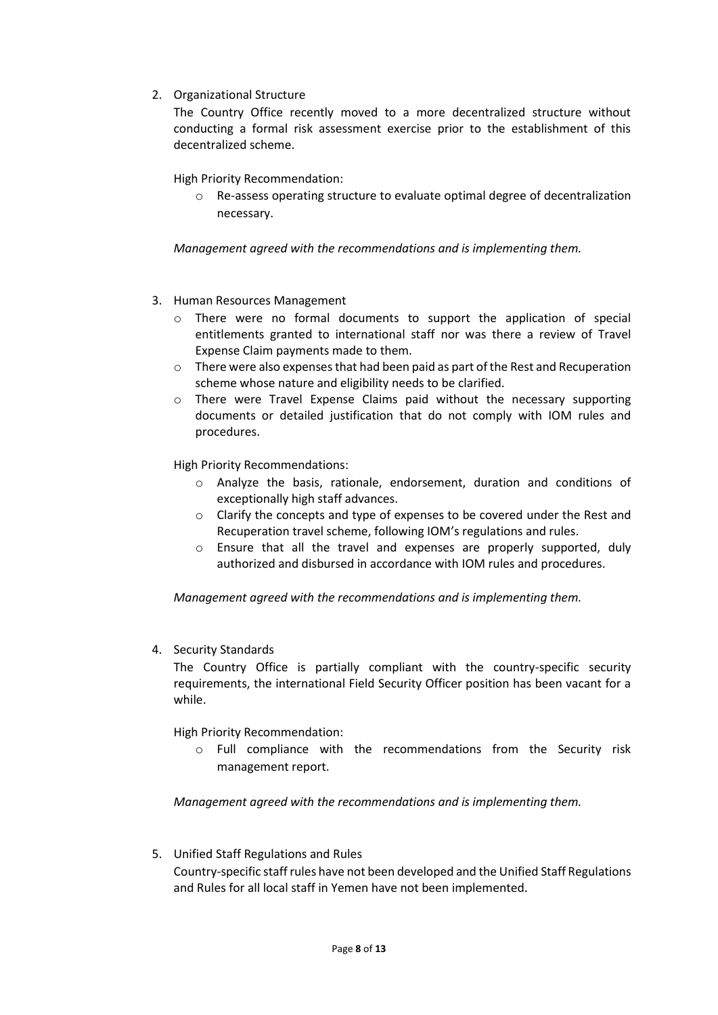2. Organizational Structure

The Country Office recently moved to a more decentralized structure without conducting a formal risk assessment exercise prior to the establishment of this decentralized scheme.

High Priority Recommendation:

o Re-assess operating structure to evaluate optimal degree of decentralization necessary.

*Management agreed with the recommendations and is implementing them.*

- 3. Human Resources Management
	- $\circ$  There were no formal documents to support the application of special entitlements granted to international staff nor was there a review of Travel Expense Claim payments made to them.
	- $\circ$  There were also expenses that had been paid as part of the Rest and Recuperation scheme whose nature and eligibility needs to be clarified.
	- $\circ$  There were Travel Expense Claims paid without the necessary supporting documents or detailed justification that do not comply with IOM rules and procedures.

High Priority Recommendations:

- $\circ$  Analyze the basis, rationale, endorsement, duration and conditions of exceptionally high staff advances.
- o Clarify the concepts and type of expenses to be covered under the Rest and Recuperation travel scheme, following IOM's regulations and rules.
- $\circ$  Ensure that all the travel and expenses are properly supported, duly authorized and disbursed in accordance with IOM rules and procedures.

*Management agreed with the recommendations and is implementing them.*

4. Security Standards

The Country Office is partially compliant with the country-specific security requirements, the international Field Security Officer position has been vacant for a while.

High Priority Recommendation:

o Full compliance with the recommendations from the Security risk management report.

*Management agreed with the recommendations and is implementing them.*

5. Unified Staff Regulations and Rules Country-specific staff rules have not been developed and the Unified Staff Regulations and Rules for all local staff in Yemen have not been implemented.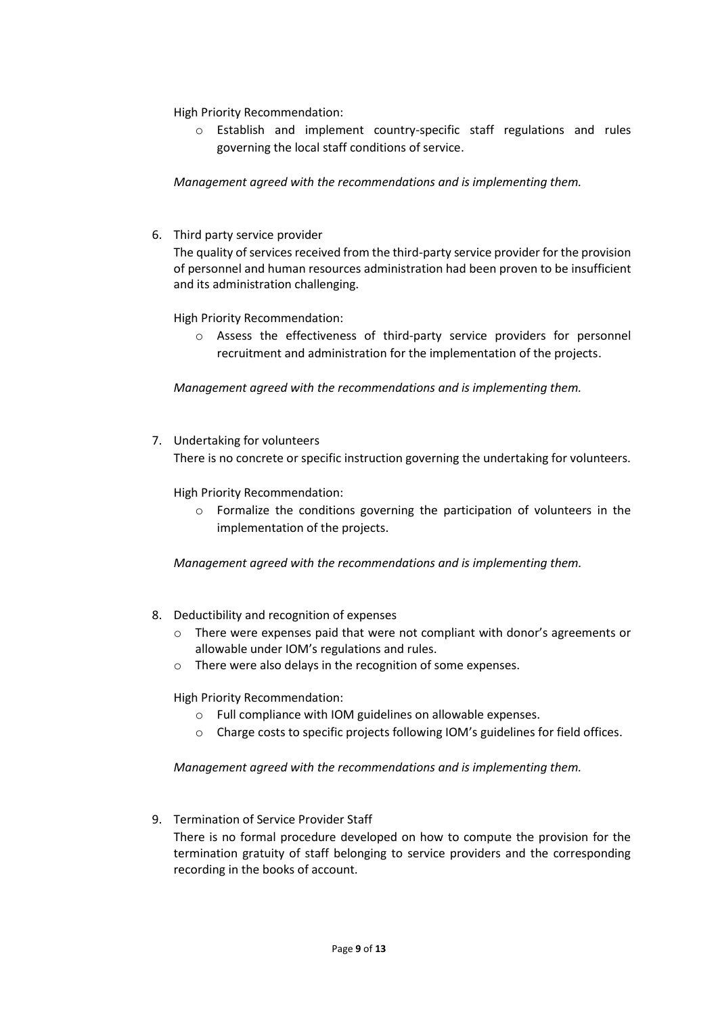High Priority Recommendation:

o Establish and implement country-specific staff regulations and rules governing the local staff conditions of service.

*Management agreed with the recommendations and is implementing them.*

6. Third party service provider

The quality of services received from the third-party service provider for the provision of personnel and human resources administration had been proven to be insufficient and its administration challenging.

High Priority Recommendation:

o Assess the effectiveness of third-party service providers for personnel recruitment and administration for the implementation of the projects.

*Management agreed with the recommendations and is implementing them.*

7. Undertaking for volunteers There is no concrete or specific instruction governing the undertaking for volunteers.

High Priority Recommendation:

o Formalize the conditions governing the participation of volunteers in the implementation of the projects.

*Management agreed with the recommendations and is implementing them.*

- 8. Deductibility and recognition of expenses
	- o There were expenses paid that were not compliant with donor's agreements or allowable under IOM's regulations and rules.
	- o There were also delays in the recognition of some expenses.

High Priority Recommendation:

- o Full compliance with IOM guidelines on allowable expenses.
- $\circ$  Charge costs to specific projects following IOM's guidelines for field offices.

*Management agreed with the recommendations and is implementing them.*

9. Termination of Service Provider Staff

There is no formal procedure developed on how to compute the provision for the termination gratuity of staff belonging to service providers and the corresponding recording in the books of account.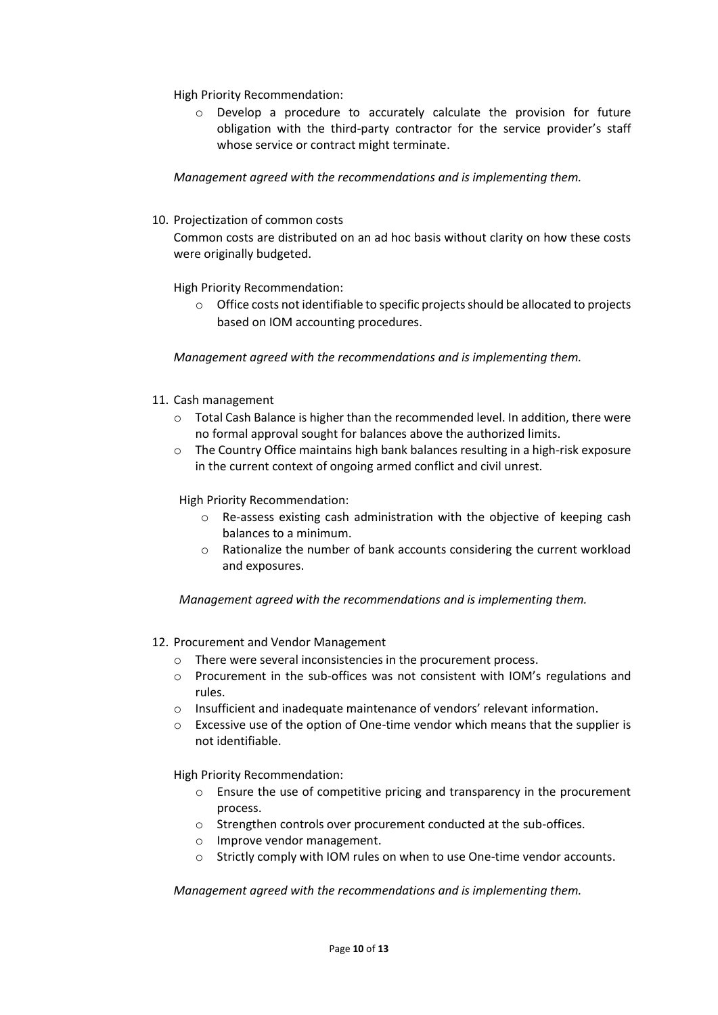High Priority Recommendation:

o Develop a procedure to accurately calculate the provision for future obligation with the third-party contractor for the service provider's staff whose service or contract might terminate.

*Management agreed with the recommendations and is implementing them.*

10. Projectization of common costs

Common costs are distributed on an ad hoc basis without clarity on how these costs were originally budgeted.

High Priority Recommendation:

o Office costs not identifiable to specific projects should be allocated to projects based on IOM accounting procedures.

*Management agreed with the recommendations and is implementing them.*

- 11. Cash management
	- $\circ$  Total Cash Balance is higher than the recommended level. In addition, there were no formal approval sought for balances above the authorized limits.
	- o The Country Office maintains high bank balances resulting in a high-risk exposure in the current context of ongoing armed conflict and civil unrest.

High Priority Recommendation:

- o Re-assess existing cash administration with the objective of keeping cash balances to a minimum.
- $\circ$  Rationalize the number of bank accounts considering the current workload and exposures.

*Management agreed with the recommendations and is implementing them.*

- 12. Procurement and Vendor Management
	- o There were several inconsistencies in the procurement process.
	- o Procurement in the sub-offices was not consistent with IOM's regulations and rules.
	- o Insufficient and inadequate maintenance of vendors' relevant information.
	- o Excessive use of the option of One-time vendor which means that the supplier is not identifiable.

High Priority Recommendation:

- o Ensure the use of competitive pricing and transparency in the procurement process.
- o Strengthen controls over procurement conducted at the sub-offices.
- o Improve vendor management.
- o Strictly comply with IOM rules on when to use One-time vendor accounts.

*Management agreed with the recommendations and is implementing them.*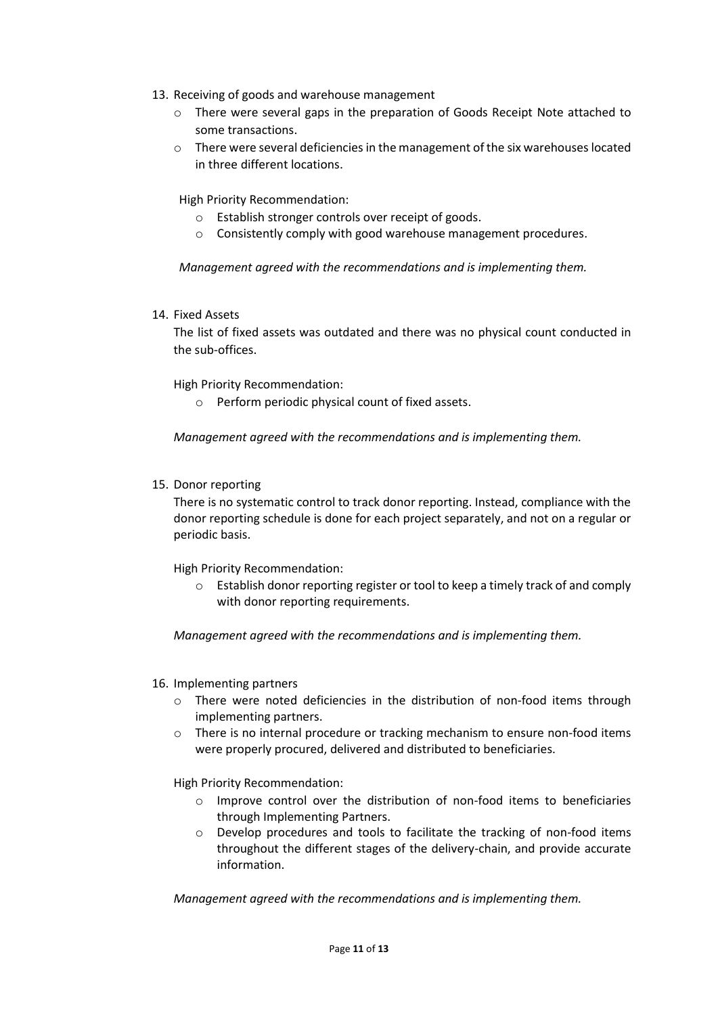- 13. Receiving of goods and warehouse management
	- o There were several gaps in the preparation of Goods Receipt Note attached to some transactions.
	- o There were several deficiencies in the management of the six warehouses located in three different locations.

High Priority Recommendation:

- o Establish stronger controls over receipt of goods.
- o Consistently comply with good warehouse management procedures.

*Management agreed with the recommendations and is implementing them.*

14. Fixed Assets

The list of fixed assets was outdated and there was no physical count conducted in the sub-offices.

High Priority Recommendation:

o Perform periodic physical count of fixed assets.

*Management agreed with the recommendations and is implementing them.*

15. Donor reporting

There is no systematic control to track donor reporting. Instead, compliance with the donor reporting schedule is done for each project separately, and not on a regular or periodic basis.

High Priority Recommendation:

o Establish donor reporting register or tool to keep a timely track of and comply with donor reporting requirements.

*Management agreed with the recommendations and is implementing them.*

- 16. Implementing partners
	- o There were noted deficiencies in the distribution of non-food items through implementing partners.
	- o There is no internal procedure or tracking mechanism to ensure non-food items were properly procured, delivered and distributed to beneficiaries.

High Priority Recommendation:

- o Improve control over the distribution of non-food items to beneficiaries through Implementing Partners.
- o Develop procedures and tools to facilitate the tracking of non-food items throughout the different stages of the delivery-chain, and provide accurate information.

*Management agreed with the recommendations and is implementing them.*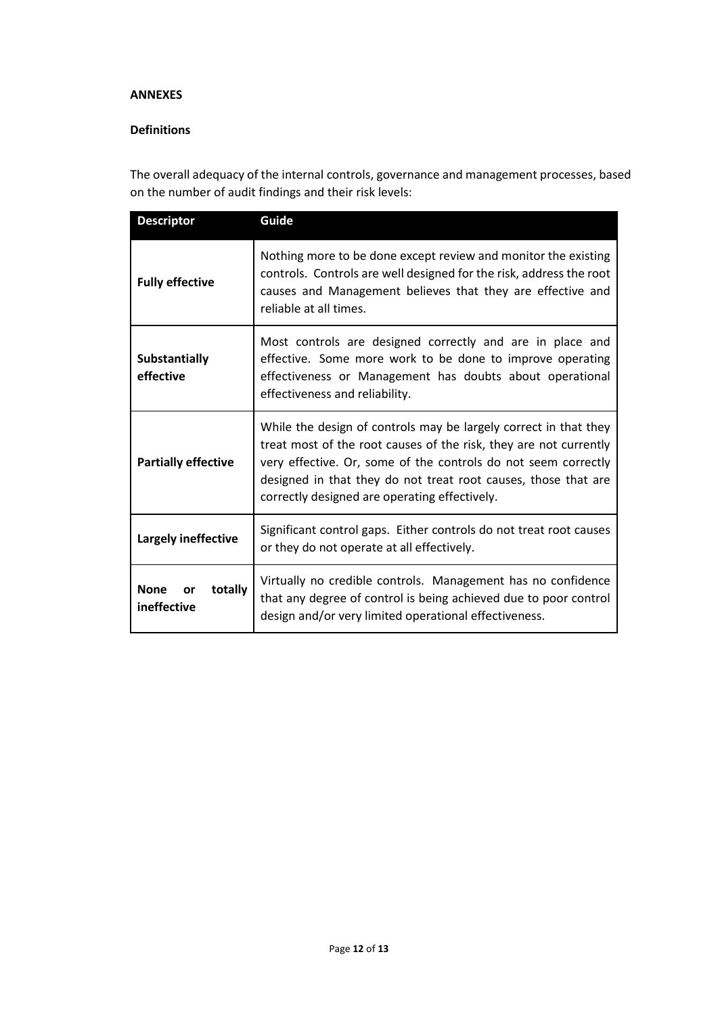#### **ANNEXES**

## **Definitions**

The overall adequacy of the internal controls, governance and management processes, based on the number of audit findings and their risk levels:

| <b>Descriptor</b>                           | Guide                                                                                                                                                                                                                                                                                                                      |  |
|---------------------------------------------|----------------------------------------------------------------------------------------------------------------------------------------------------------------------------------------------------------------------------------------------------------------------------------------------------------------------------|--|
| <b>Fully effective</b>                      | Nothing more to be done except review and monitor the existing<br>controls. Controls are well designed for the risk, address the root<br>causes and Management believes that they are effective and<br>reliable at all times.                                                                                              |  |
| Substantially<br>effective                  | Most controls are designed correctly and are in place and<br>effective. Some more work to be done to improve operating<br>effectiveness or Management has doubts about operational<br>effectiveness and reliability.                                                                                                       |  |
| <b>Partially effective</b>                  | While the design of controls may be largely correct in that they<br>treat most of the root causes of the risk, they are not currently<br>very effective. Or, some of the controls do not seem correctly<br>designed in that they do not treat root causes, those that are<br>correctly designed are operating effectively. |  |
| Largely ineffective                         | Significant control gaps. Either controls do not treat root causes<br>or they do not operate at all effectively.                                                                                                                                                                                                           |  |
| <b>None</b><br>totally<br>or<br>ineffective | Virtually no credible controls. Management has no confidence<br>that any degree of control is being achieved due to poor control<br>design and/or very limited operational effectiveness.                                                                                                                                  |  |